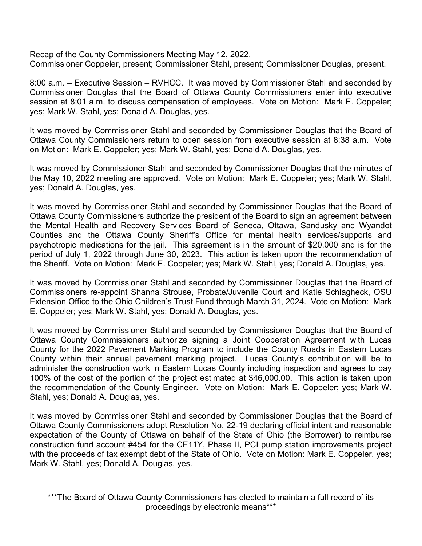Recap of the County Commissioners Meeting May 12, 2022. Commissioner Coppeler, present; Commissioner Stahl, present; Commissioner Douglas, present.

8:00 a.m. – Executive Session – RVHCC. It was moved by Commissioner Stahl and seconded by Commissioner Douglas that the Board of Ottawa County Commissioners enter into executive session at 8:01 a.m. to discuss compensation of employees. Vote on Motion: Mark E. Coppeler; yes; Mark W. Stahl, yes; Donald A. Douglas, yes.

It was moved by Commissioner Stahl and seconded by Commissioner Douglas that the Board of Ottawa County Commissioners return to open session from executive session at 8:38 a.m. Vote on Motion: Mark E. Coppeler; yes; Mark W. Stahl, yes; Donald A. Douglas, yes.

It was moved by Commissioner Stahl and seconded by Commissioner Douglas that the minutes of the May 10, 2022 meeting are approved. Vote on Motion: Mark E. Coppeler; yes; Mark W. Stahl, yes; Donald A. Douglas, yes.

It was moved by Commissioner Stahl and seconded by Commissioner Douglas that the Board of Ottawa County Commissioners authorize the president of the Board to sign an agreement between the Mental Health and Recovery Services Board of Seneca, Ottawa, Sandusky and Wyandot Counties and the Ottawa County Sheriff's Office for mental health services/supports and psychotropic medications for the jail. This agreement is in the amount of \$20,000 and is for the period of July 1, 2022 through June 30, 2023. This action is taken upon the recommendation of the Sheriff. Vote on Motion: Mark E. Coppeler; yes; Mark W. Stahl, yes; Donald A. Douglas, yes.

It was moved by Commissioner Stahl and seconded by Commissioner Douglas that the Board of Commissioners re-appoint Shanna Strouse, Probate/Juvenile Court and Katie Schlagheck, OSU Extension Office to the Ohio Children's Trust Fund through March 31, 2024. Vote on Motion: Mark E. Coppeler; yes; Mark W. Stahl, yes; Donald A. Douglas, yes.

It was moved by Commissioner Stahl and seconded by Commissioner Douglas that the Board of Ottawa County Commissioners authorize signing a Joint Cooperation Agreement with Lucas County for the 2022 Pavement Marking Program to include the County Roads in Eastern Lucas County within their annual pavement marking project. Lucas County's contribution will be to administer the construction work in Eastern Lucas County including inspection and agrees to pay 100% of the cost of the portion of the project estimated at \$46,000.00. This action is taken upon the recommendation of the County Engineer. Vote on Motion: Mark E. Coppeler; yes; Mark W. Stahl, yes; Donald A. Douglas, yes.

It was moved by Commissioner Stahl and seconded by Commissioner Douglas that the Board of Ottawa County Commissioners adopt Resolution No. 22-19 declaring official intent and reasonable expectation of the County of Ottawa on behalf of the State of Ohio (the Borrower) to reimburse construction fund account #454 for the CE11Y, Phase II, PCI pump station improvements project with the proceeds of tax exempt debt of the State of Ohio. Vote on Motion: Mark E. Coppeler, yes; Mark W. Stahl, yes; Donald A. Douglas, yes.

\*\*\*The Board of Ottawa County Commissioners has elected to maintain a full record of its proceedings by electronic means\*\*\*